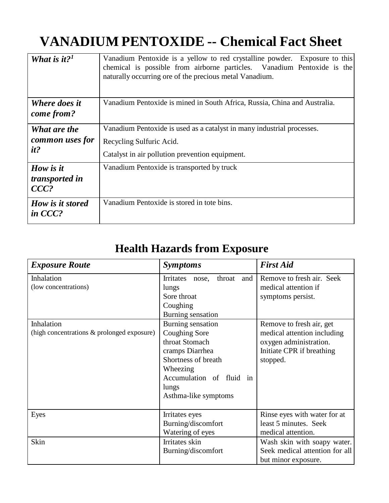## **VANADIUM PENTOXIDE -- Chemical Fact Sheet**

| What is it? <sup>1</sup>                      | Vanadium Pentoxide is a yellow to red crystalline powder. Exposure to this<br>chemical is possible from airborne particles. Vanadium Pentoxide is the<br>naturally occurring ore of the precious metal Vanadium. |
|-----------------------------------------------|------------------------------------------------------------------------------------------------------------------------------------------------------------------------------------------------------------------|
| <b>Where does it</b><br>come from?            | Vanadium Pentoxide is mined in South Africa, Russia, China and Australia.                                                                                                                                        |
| <b>What are the</b><br>common uses for<br>it? | Vanadium Pentoxide is used as a catalyst in many industrial processes.<br>Recycling Sulfuric Acid.<br>Catalyst in air pollution prevention equipment.                                                            |
| How is it<br>transported in<br>$CCC$ ?        | Vanadium Pentoxide is transported by truck                                                                                                                                                                       |
| How is it stored<br>in CCC?                   | Vanadium Pentoxide is stored in tote bins.                                                                                                                                                                       |

## **Health Hazards from Exposure**

| <b>Exposure Route</b>                                    | <b>Symptoms</b>                                                                                                                                                         | <b>First Aid</b>                                                                                                           |
|----------------------------------------------------------|-------------------------------------------------------------------------------------------------------------------------------------------------------------------------|----------------------------------------------------------------------------------------------------------------------------|
| Inhalation<br>(low concentrations)                       | Irritates<br>throat<br>and<br>nose,<br>lungs<br>Sore throat<br>Coughing<br>Burning sensation                                                                            | Remove to fresh air. Seek<br>medical attention if<br>symptoms persist.                                                     |
| Inhalation<br>(high concentrations & prolonged exposure) | Burning sensation<br>Coughing Sore<br>throat Stomach<br>cramps Diarrhea<br>Shortness of breath<br>Wheezing<br>Accumulation of fluid in<br>lungs<br>Asthma-like symptoms | Remove to fresh air, get<br>medical attention including<br>oxygen administration.<br>Initiate CPR if breathing<br>stopped. |
| Eyes                                                     | Irritates eyes<br>Burning/discomfort<br>Watering of eyes                                                                                                                | Rinse eyes with water for at<br>least 5 minutes. Seek<br>medical attention.                                                |
| Skin                                                     | Irritates skin<br>Burning/discomfort                                                                                                                                    | Wash skin with soapy water.<br>Seek medical attention for all<br>but minor exposure.                                       |